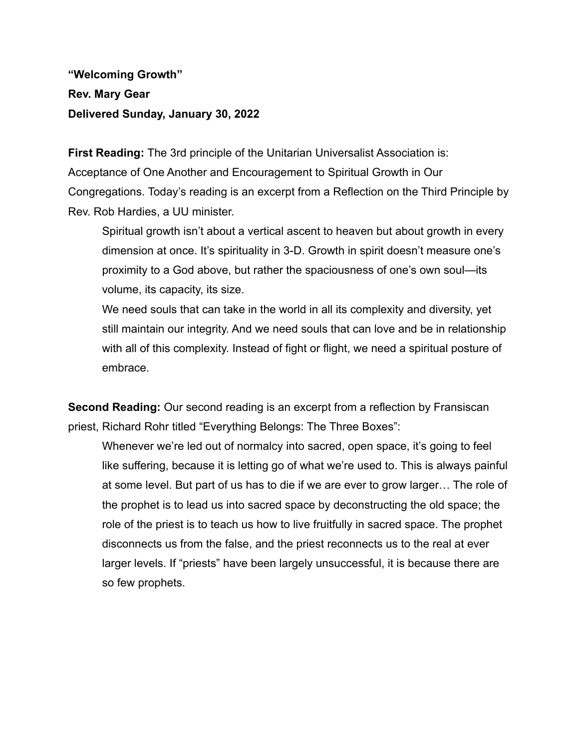## **"Welcoming Growth" Rev. Mary Gear Delivered Sunday, January 30, 2022**

**First Reading:** The 3rd principle of the Unitarian Universalist Association is: Acceptance of One Another and Encouragement to Spiritual Growth in Our Congregations. Today's reading is an excerpt from a Reflection on the Third Principle by Rev. Rob Hardies, a UU minister.

Spiritual growth isn't about a vertical ascent to heaven but about growth in every dimension at once. It's spirituality in 3-D. Growth in spirit doesn't measure one's proximity to a God above, but rather the spaciousness of one's own soul—its volume, its capacity, its size.

We need souls that can take in the world in all its complexity and diversity, yet still maintain our integrity. And we need souls that can love and be in relationship with all of this complexity. Instead of fight or flight, we need a spiritual posture of embrace.

**Second Reading:** Our second reading is an excerpt from a reflection by Fransiscan priest, Richard Rohr titled "Everything Belongs: The Three Boxes":

Whenever we're led out of normalcy into sacred, open space, it's going to feel like suffering, because it is letting go of what we're used to. This is always painful at some level. But part of us has to die if we are ever to grow larger… The role of the prophet is to lead us into sacred space by deconstructing the old space; the role of the priest is to teach us how to live fruitfully in sacred space. The prophet disconnects us from the false, and the priest reconnects us to the real at ever larger levels. If "priests" have been largely unsuccessful, it is because there are so few prophets.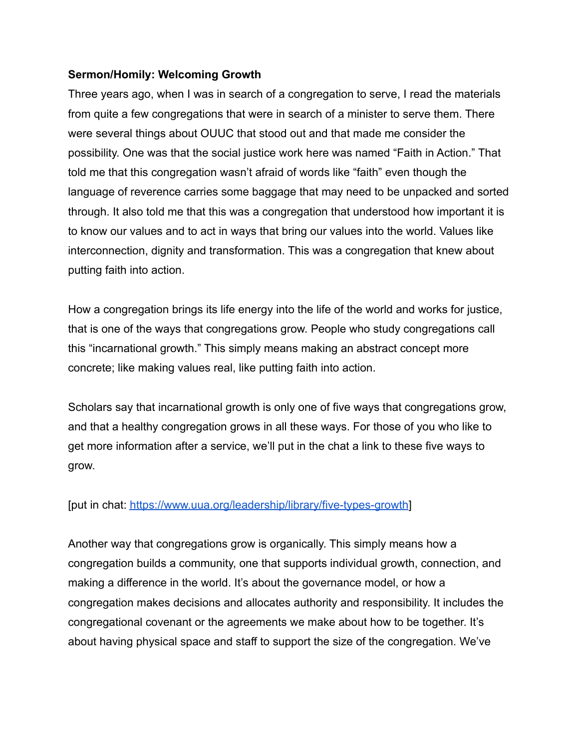## **Sermon/Homily: Welcoming Growth**

Three years ago, when I was in search of a congregation to serve, I read the materials from quite a few congregations that were in search of a minister to serve them. There were several things about OUUC that stood out and that made me consider the possibility. One was that the social justice work here was named "Faith in Action." That told me that this congregation wasn't afraid of words like "faith" even though the language of reverence carries some baggage that may need to be unpacked and sorted through. It also told me that this was a congregation that understood how important it is to know our values and to act in ways that bring our values into the world. Values like interconnection, dignity and transformation. This was a congregation that knew about putting faith into action.

How a congregation brings its life energy into the life of the world and works for justice, that is one of the ways that congregations grow. People who study congregations call this "incarnational growth." This simply means making an abstract concept more concrete; like making values real, like putting faith into action.

Scholars say that incarnational growth is only one of five ways that congregations grow, and that a healthy congregation grows in all these ways. For those of you who like to get more information after a service, we'll put in the chat a link to these five ways to grow.

[put in chat: <https://www.uua.org/leadership/library/five-types-growth>]

Another way that congregations grow is organically. This simply means how a congregation builds a community, one that supports individual growth, connection, and making a difference in the world. It's about the governance model, or how a congregation makes decisions and allocates authority and responsibility. It includes the congregational covenant or the agreements we make about how to be together. It's about having physical space and staff to support the size of the congregation. We've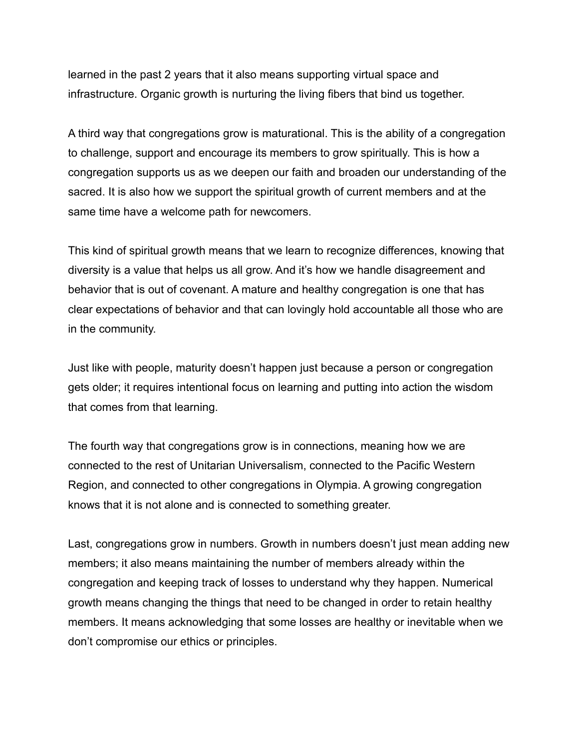learned in the past 2 years that it also means supporting virtual space and infrastructure. Organic growth is nurturing the living fibers that bind us together.

A third way that congregations grow is maturational. This is the ability of a congregation to challenge, support and encourage its members to grow spiritually. This is how a congregation supports us as we deepen our faith and broaden our understanding of the sacred. It is also how we support the spiritual growth of current members and at the same time have a welcome path for newcomers.

This kind of spiritual growth means that we learn to recognize differences, knowing that diversity is a value that helps us all grow. And it's how we handle disagreement and behavior that is out of covenant. A mature and healthy congregation is one that has clear expectations of behavior and that can lovingly hold accountable all those who are in the community.

Just like with people, maturity doesn't happen just because a person or congregation gets older; it requires intentional focus on learning and putting into action the wisdom that comes from that learning.

The fourth way that congregations grow is in connections, meaning how we are connected to the rest of Unitarian Universalism, connected to the Pacific Western Region, and connected to other congregations in Olympia. A growing congregation knows that it is not alone and is connected to something greater.

Last, congregations grow in numbers. Growth in numbers doesn't just mean adding new members; it also means maintaining the number of members already within the congregation and keeping track of losses to understand why they happen. Numerical growth means changing the things that need to be changed in order to retain healthy members. It means acknowledging that some losses are healthy or inevitable when we don't compromise our ethics or principles.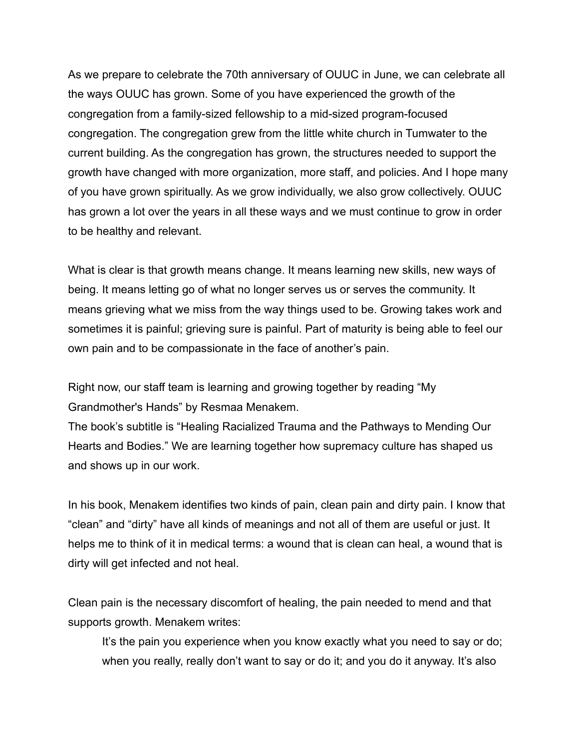As we prepare to celebrate the 70th anniversary of OUUC in June, we can celebrate all the ways OUUC has grown. Some of you have experienced the growth of the congregation from a family-sized fellowship to a mid-sized program-focused congregation. The congregation grew from the little white church in Tumwater to the current building. As the congregation has grown, the structures needed to support the growth have changed with more organization, more staff, and policies. And I hope many of you have grown spiritually. As we grow individually, we also grow collectively. OUUC has grown a lot over the years in all these ways and we must continue to grow in order to be healthy and relevant.

What is clear is that growth means change. It means learning new skills, new ways of being. It means letting go of what no longer serves us or serves the community. It means grieving what we miss from the way things used to be. Growing takes work and sometimes it is painful; grieving sure is painful. Part of maturity is being able to feel our own pain and to be compassionate in the face of another's pain.

Right now, our staff team is learning and growing together by reading "My Grandmother's Hands" by Resmaa Menakem.

The book's subtitle is "Healing Racialized Trauma and the Pathways to Mending Our Hearts and Bodies." We are learning together how supremacy culture has shaped us and shows up in our work.

In his book, Menakem identifies two kinds of pain, clean pain and dirty pain. I know that "clean" and "dirty" have all kinds of meanings and not all of them are useful or just. It helps me to think of it in medical terms: a wound that is clean can heal, a wound that is dirty will get infected and not heal.

Clean pain is the necessary discomfort of healing, the pain needed to mend and that supports growth. Menakem writes:

It's the pain you experience when you know exactly what you need to say or do; when you really, really don't want to say or do it; and you do it anyway. It's also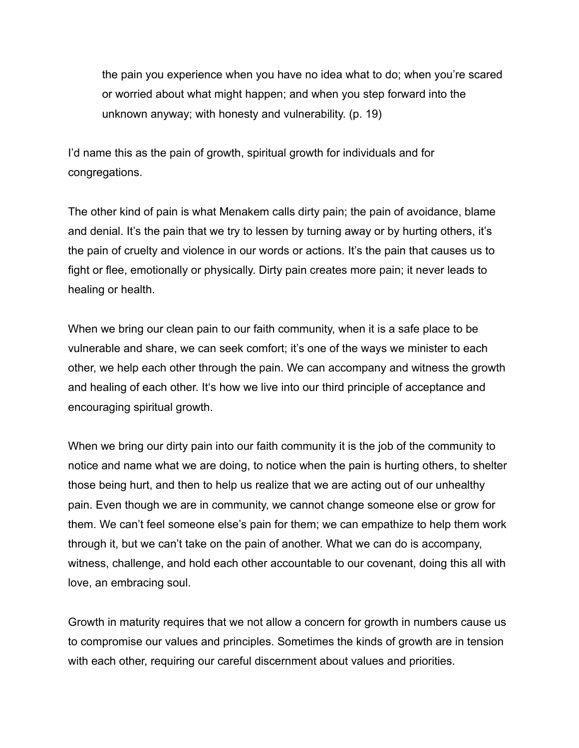the pain you experience when you have no idea what to do; when you're scared or worried about what might happen; and when you step forward into the unknown anyway; with honesty and vulnerability. (p. 19)

I'd name this as the pain of growth, spiritual growth for individuals and for congregations.

The other kind of pain is what Menakem calls dirty pain; the pain of avoidance, blame and denial. It's the pain that we try to lessen by turning away or by hurting others, it's the pain of cruelty and violence in our words or actions. It's the pain that causes us to fight or flee, emotionally or physically. Dirty pain creates more pain; it never leads to healing or health.

When we bring our clean pain to our faith community, when it is a safe place to be vulnerable and share, we can seek comfort; it's one of the ways we minister to each other, we help each other through the pain. We can accompany and witness the growth and healing of each other. It's how we live into our third principle of acceptance and encouraging spiritual growth.

When we bring our dirty pain into our faith community it is the job of the community to notice and name what we are doing, to notice when the pain is hurting others, to shelter those being hurt, and then to help us realize that we are acting out of our unhealthy pain. Even though we are in community, we cannot change someone else or grow for them. We can't feel someone else's pain for them; we can empathize to help them work through it, but we can't take on the pain of another. What we can do is accompany, witness, challenge, and hold each other accountable to our covenant, doing this all with love, an embracing soul.

Growth in maturity requires that we not allow a concern for growth in numbers cause us to compromise our values and principles. Sometimes the kinds of growth are in tension with each other, requiring our careful discernment about values and priorities.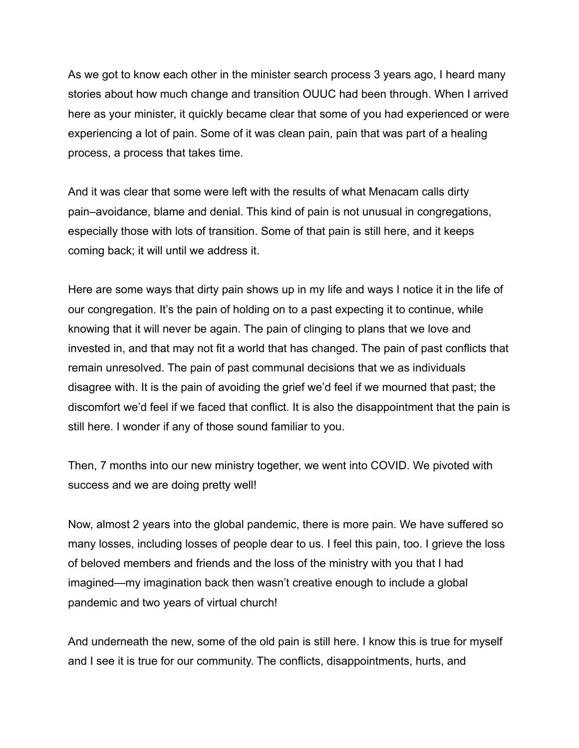As we got to know each other in the minister search process 3 years ago, I heard many stories about how much change and transition OUUC had been through. When I arrived here as your minister, it quickly became clear that some of you had experienced or were experiencing a lot of pain. Some of it was clean pain, pain that was part of a healing process, a process that takes time.

And it was clear that some were left with the results of what Menacam calls dirty pain–avoidance, blame and denial. This kind of pain is not unusual in congregations, especially those with lots of transition. Some of that pain is still here, and it keeps coming back; it will until we address it.

Here are some ways that dirty pain shows up in my life and ways I notice it in the life of our congregation. It's the pain of holding on to a past expecting it to continue, while knowing that it will never be again. The pain of clinging to plans that we love and invested in, and that may not fit a world that has changed. The pain of past conflicts that remain unresolved. The pain of past communal decisions that we as individuals disagree with. It is the pain of avoiding the grief we'd feel if we mourned that past; the discomfort we'd feel if we faced that conflict. It is also the disappointment that the pain is still here. I wonder if any of those sound familiar to you.

Then, 7 months into our new ministry together, we went into COVID. We pivoted with success and we are doing pretty well!

Now, almost 2 years into the global pandemic, there is more pain. We have suffered so many losses, including losses of people dear to us. I feel this pain, too. I grieve the loss of beloved members and friends and the loss of the ministry with you that I had imagined—my imagination back then wasn't creative enough to include a global pandemic and two years of virtual church!

And underneath the new, some of the old pain is still here. I know this is true for myself and I see it is true for our community. The conflicts, disappointments, hurts, and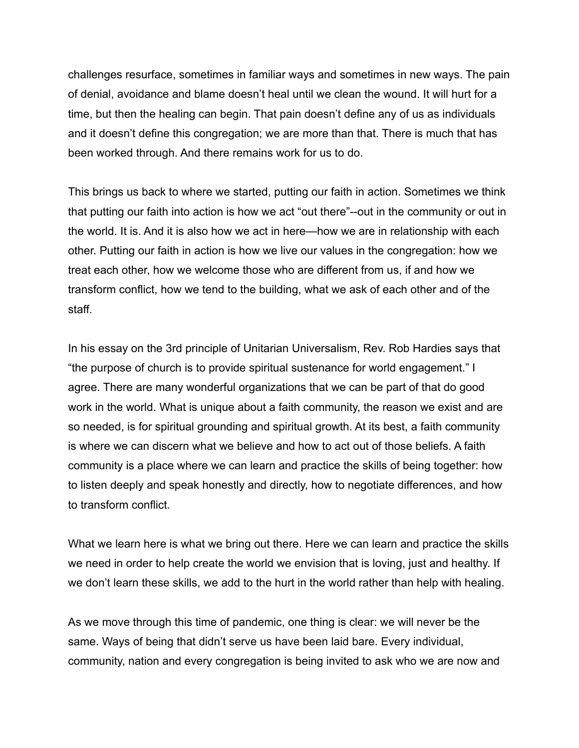challenges resurface, sometimes in familiar ways and sometimes in new ways. The pain of denial, avoidance and blame doesn't heal until we clean the wound. It will hurt for a time, but then the healing can begin. That pain doesn't define any of us as individuals and it doesn't define this congregation; we are more than that. There is much that has been worked through. And there remains work for us to do.

This brings us back to where we started, putting our faith in action. Sometimes we think that putting our faith into action is how we act "out there"--out in the community or out in the world. It is. And it is also how we act in here—how we are in relationship with each other. Putting our faith in action is how we live our values in the congregation: how we treat each other, how we welcome those who are different from us, if and how we transform conflict, how we tend to the building, what we ask of each other and of the staff.

In his essay on the 3rd principle of Unitarian Universalism, Rev. Rob Hardies says that "the purpose of church is to provide spiritual sustenance for world engagement." I agree. There are many wonderful organizations that we can be part of that do good work in the world. What is unique about a faith community, the reason we exist and are so needed, is for spiritual grounding and spiritual growth. At its best, a faith community is where we can discern what we believe and how to act out of those beliefs. A faith community is a place where we can learn and practice the skills of being together: how to listen deeply and speak honestly and directly, how to negotiate differences, and how to transform conflict.

What we learn here is what we bring out there. Here we can learn and practice the skills we need in order to help create the world we envision that is loving, just and healthy. If we don't learn these skills, we add to the hurt in the world rather than help with healing.

As we move through this time of pandemic, one thing is clear: we will never be the same. Ways of being that didn't serve us have been laid bare. Every individual, community, nation and every congregation is being invited to ask who we are now and